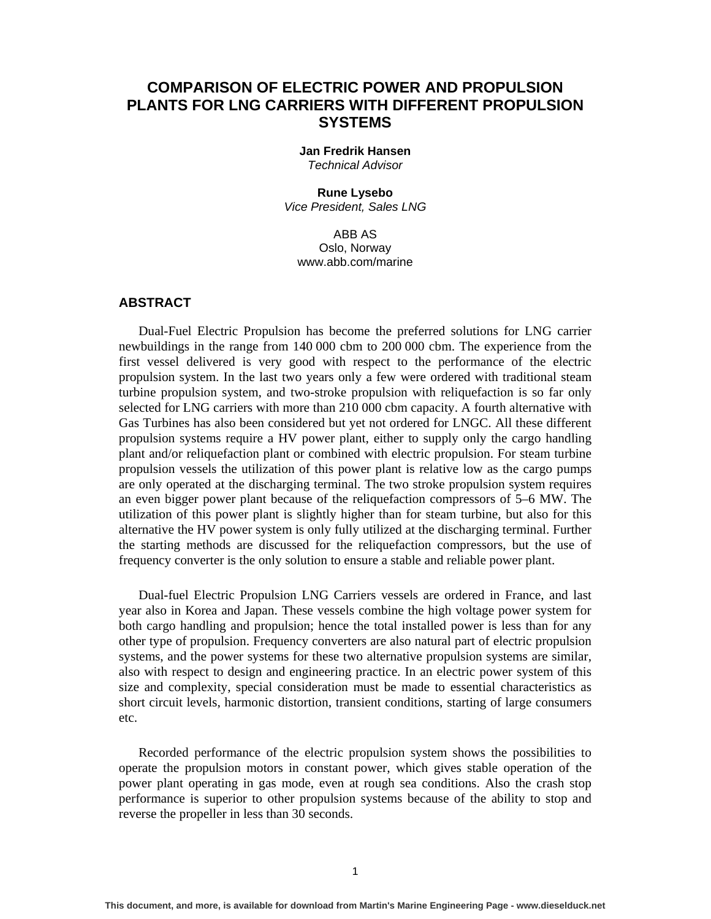# **COMPARISON OF ELECTRIC POWER AND PROPULSION PLANTS FOR LNG CARRIERS WITH DIFFERENT PROPULSION SYSTEMS**

**Jan Fredrik Hansen**  *Technical Advisor* 

**Rune Lysebo**  *Vice President, Sales LNG* 

ABB AS Oslo, Norway www.abb.com/marine

# **ABSTRACT**

Dual-Fuel Electric Propulsion has become the preferred solutions for LNG carrier newbuildings in the range from 140 000 cbm to 200 000 cbm. The experience from the first vessel delivered is very good with respect to the performance of the electric propulsion system. In the last two years only a few were ordered with traditional steam turbine propulsion system, and two-stroke propulsion with reliquefaction is so far only selected for LNG carriers with more than 210 000 cbm capacity. A fourth alternative with Gas Turbines has also been considered but yet not ordered for LNGC. All these different propulsion systems require a HV power plant, either to supply only the cargo handling plant and/or reliquefaction plant or combined with electric propulsion. For steam turbine propulsion vessels the utilization of this power plant is relative low as the cargo pumps are only operated at the discharging terminal. The two stroke propulsion system requires an even bigger power plant because of the reliquefaction compressors of 5–6 MW. The utilization of this power plant is slightly higher than for steam turbine, but also for this alternative the HV power system is only fully utilized at the discharging terminal. Further the starting methods are discussed for the reliquefaction compressors, but the use of frequency converter is the only solution to ensure a stable and reliable power plant.

Dual-fuel Electric Propulsion LNG Carriers vessels are ordered in France, and last year also in Korea and Japan. These vessels combine the high voltage power system for both cargo handling and propulsion; hence the total installed power is less than for any other type of propulsion. Frequency converters are also natural part of electric propulsion systems, and the power systems for these two alternative propulsion systems are similar, also with respect to design and engineering practice. In an electric power system of this size and complexity, special consideration must be made to essential characteristics as short circuit levels, harmonic distortion, transient conditions, starting of large consumers etc.

Recorded performance of the electric propulsion system shows the possibilities to operate the propulsion motors in constant power, which gives stable operation of the power plant operating in gas mode, even at rough sea conditions. Also the crash stop performance is superior to other propulsion systems because of the ability to stop and reverse the propeller in less than 30 seconds.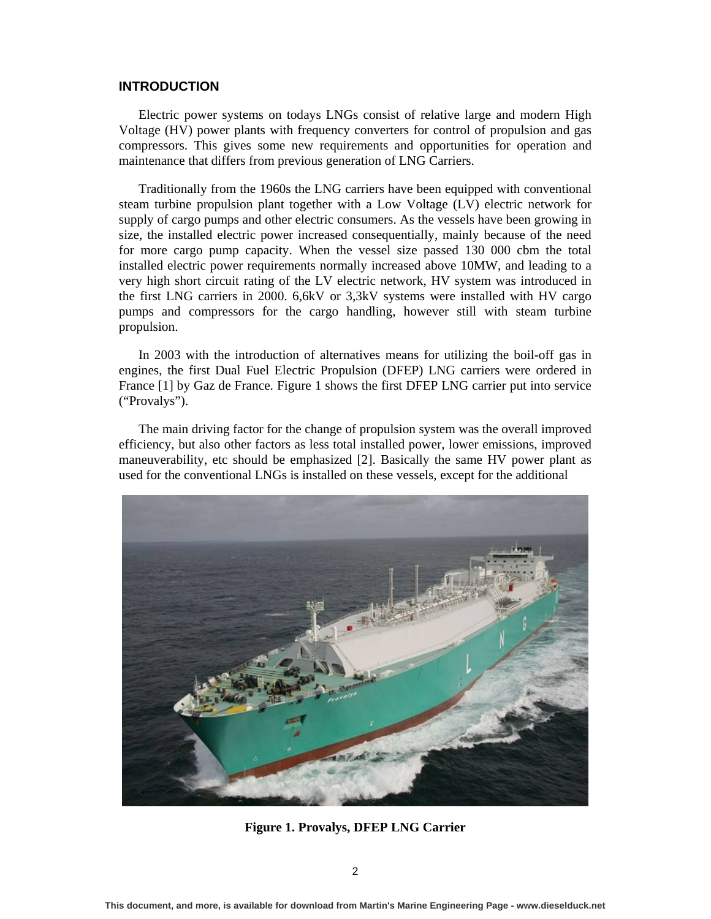#### **INTRODUCTION**

Electric power systems on todays LNGs consist of relative large and modern High Voltage (HV) power plants with frequency converters for control of propulsion and gas compressors. This gives some new requirements and opportunities for operation and maintenance that differs from previous generation of LNG Carriers.

Traditionally from the 1960s the LNG carriers have been equipped with conventional steam turbine propulsion plant together with a Low Voltage (LV) electric network for supply of cargo pumps and other electric consumers. As the vessels have been growing in size, the installed electric power increased consequentially, mainly because of the need for more cargo pump capacity. When the vessel size passed 130 000 cbm the total installed electric power requirements normally increased above 10MW, and leading to a very high short circuit rating of the LV electric network, HV system was introduced in the first LNG carriers in 2000. 6,6kV or 3,3kV systems were installed with HV cargo pumps and compressors for the cargo handling, however still with steam turbine propulsion.

In 2003 with the introduction of alternatives means for utilizing the boil-off gas in engines, the first Dual Fuel Electric Propulsion (DFEP) LNG carriers were ordered in France [1] by Gaz de France. Figure 1 shows the first DFEP LNG carrier put into service ("Provalys").

The main driving factor for the change of propulsion system was the overall improved efficiency, but also other factors as less total installed power, lower emissions, improved maneuverability, etc should be emphasized [2]. Basically the same HV power plant as used for the conventional LNGs is installed on these vessels, except for the additional



**Figure 1. Provalys, DFEP LNG Carrier**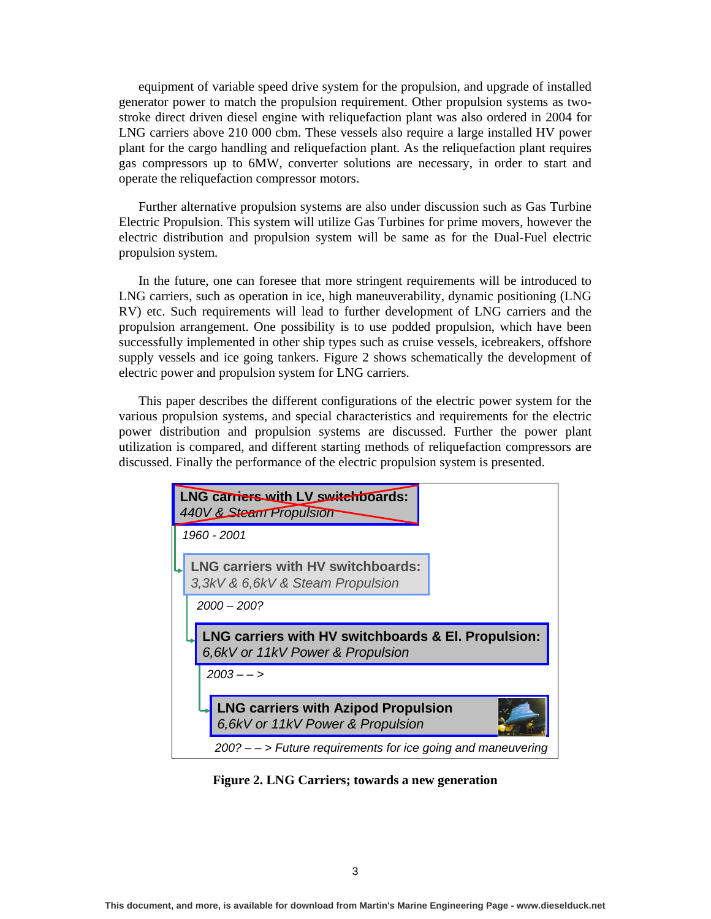equipment of variable speed drive system for the propulsion, and upgrade of installed generator power to match the propulsion requirement. Other propulsion systems as twostroke direct driven diesel engine with reliquefaction plant was also ordered in 2004 for LNG carriers above 210 000 cbm. These vessels also require a large installed HV power plant for the cargo handling and reliquefaction plant. As the reliquefaction plant requires gas compressors up to 6MW, converter solutions are necessary, in order to start and operate the reliquefaction compressor motors.

Further alternative propulsion systems are also under discussion such as Gas Turbine Electric Propulsion. This system will utilize Gas Turbines for prime movers, however the electric distribution and propulsion system will be same as for the Dual-Fuel electric propulsion system.

In the future, one can foresee that more stringent requirements will be introduced to LNG carriers, such as operation in ice, high maneuverability, dynamic positioning (LNG RV) etc. Such requirements will lead to further development of LNG carriers and the propulsion arrangement. One possibility is to use podded propulsion, which have been successfully implemented in other ship types such as cruise vessels, icebreakers, offshore supply vessels and ice going tankers. Figure 2 shows schematically the development of electric power and propulsion system for LNG carriers.

This paper describes the different configurations of the electric power system for the various propulsion systems, and special characteristics and requirements for the electric power distribution and propulsion systems are discussed. Further the power plant utilization is compared, and different starting methods of reliquefaction compressors are discussed. Finally the performance of the electric propulsion system is presented.



**Figure 2. LNG Carriers; towards a new generation**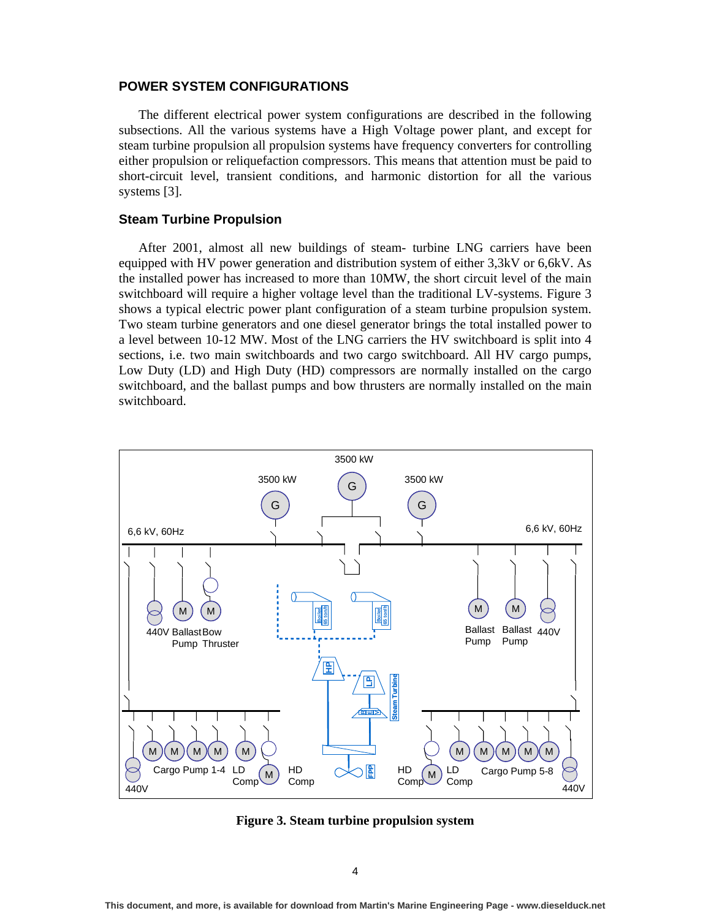### **POWER SYSTEM CONFIGURATIONS**

The different electrical power system configurations are described in the following subsections. All the various systems have a High Voltage power plant, and except for steam turbine propulsion all propulsion systems have frequency converters for controlling either propulsion or reliquefaction compressors. This means that attention must be paid to short-circuit level, transient conditions, and harmonic distortion for all the various systems [3].

### **Steam Turbine Propulsion**

After 2001, almost all new buildings of steam- turbine LNG carriers have been equipped with HV power generation and distribution system of either 3,3kV or 6,6kV. As the installed power has increased to more than 10MW, the short circuit level of the main switchboard will require a higher voltage level than the traditional LV-systems. Figure 3 shows a typical electric power plant configuration of a steam turbine propulsion system. Two steam turbine generators and one diesel generator brings the total installed power to a level between 10-12 MW. Most of the LNG carriers the HV switchboard is split into 4 sections, i.e. two main switchboards and two cargo switchboard. All HV cargo pumps, Low Duty (LD) and High Duty (HD) compressors are normally installed on the cargo switchboard, and the ballast pumps and bow thrusters are normally installed on the main switchboard.



**Figure 3. Steam turbine propulsion system**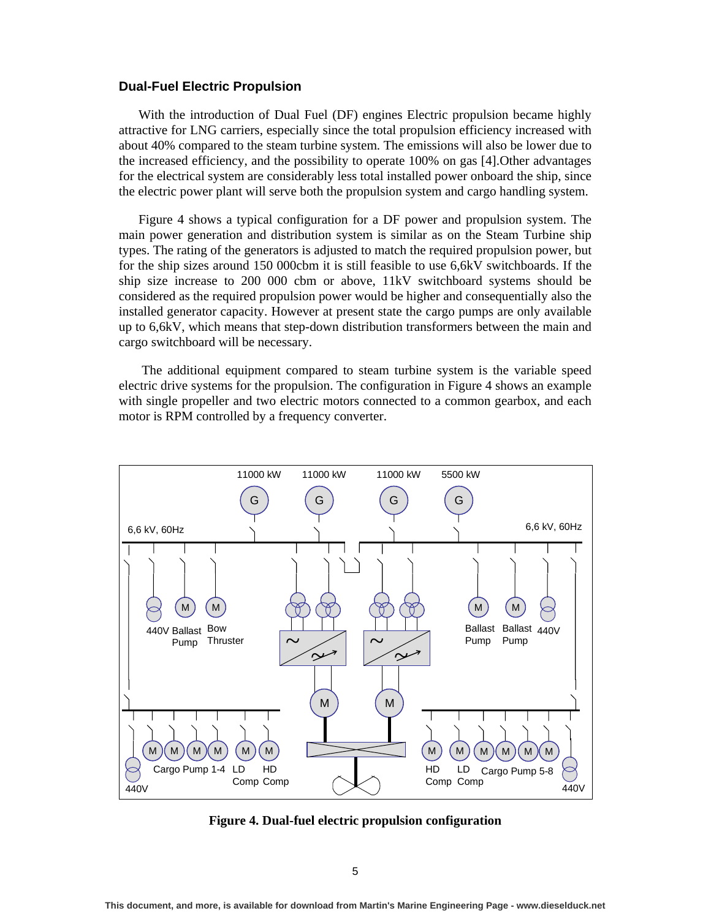#### **Dual-Fuel Electric Propulsion**

With the introduction of Dual Fuel (DF) engines Electric propulsion became highly attractive for LNG carriers, especially since the total propulsion efficiency increased with about 40% compared to the steam turbine system. The emissions will also be lower due to the increased efficiency, and the possibility to operate 100% on gas [4].Other advantages for the electrical system are considerably less total installed power onboard the ship, since the electric power plant will serve both the propulsion system and cargo handling system.

Figure 4 shows a typical configuration for a DF power and propulsion system. The main power generation and distribution system is similar as on the Steam Turbine ship types. The rating of the generators is adjusted to match the required propulsion power, but for the ship sizes around 150 000cbm it is still feasible to use 6,6kV switchboards. If the ship size increase to 200 000 cbm or above, 11kV switchboard systems should be considered as the required propulsion power would be higher and consequentially also the installed generator capacity. However at present state the cargo pumps are only available up to 6,6kV, which means that step-down distribution transformers between the main and cargo switchboard will be necessary.

 The additional equipment compared to steam turbine system is the variable speed electric drive systems for the propulsion. The configuration in Figure 4 shows an example with single propeller and two electric motors connected to a common gearbox, and each motor is RPM controlled by a frequency converter.



**Figure 4. Dual-fuel electric propulsion configuration**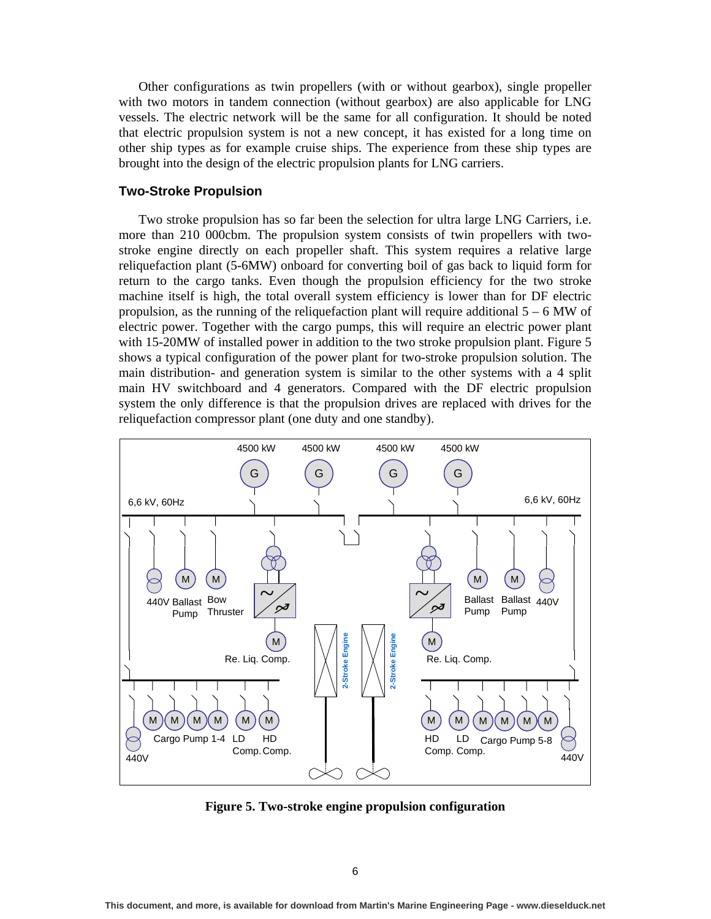Other configurations as twin propellers (with or without gearbox), single propeller with two motors in tandem connection (without gearbox) are also applicable for LNG vessels. The electric network will be the same for all configuration. It should be noted that electric propulsion system is not a new concept, it has existed for a long time on other ship types as for example cruise ships. The experience from these ship types are brought into the design of the electric propulsion plants for LNG carriers.

# **Two-Stroke Propulsion**

Two stroke propulsion has so far been the selection for ultra large LNG Carriers, i.e. more than 210 000cbm. The propulsion system consists of twin propellers with twostroke engine directly on each propeller shaft. This system requires a relative large reliquefaction plant (5-6MW) onboard for converting boil of gas back to liquid form for return to the cargo tanks. Even though the propulsion efficiency for the two stroke machine itself is high, the total overall system efficiency is lower than for DF electric propulsion, as the running of the reliquefaction plant will require additional  $5 - 6$  MW of electric power. Together with the cargo pumps, this will require an electric power plant with 15-20MW of installed power in addition to the two stroke propulsion plant. Figure 5 shows a typical configuration of the power plant for two-stroke propulsion solution. The main distribution- and generation system is similar to the other systems with a 4 split main HV switchboard and 4 generators. Compared with the DF electric propulsion system the only difference is that the propulsion drives are replaced with drives for the reliquefaction compressor plant (one duty and one standby).



**Figure 5. Two-stroke engine propulsion configuration**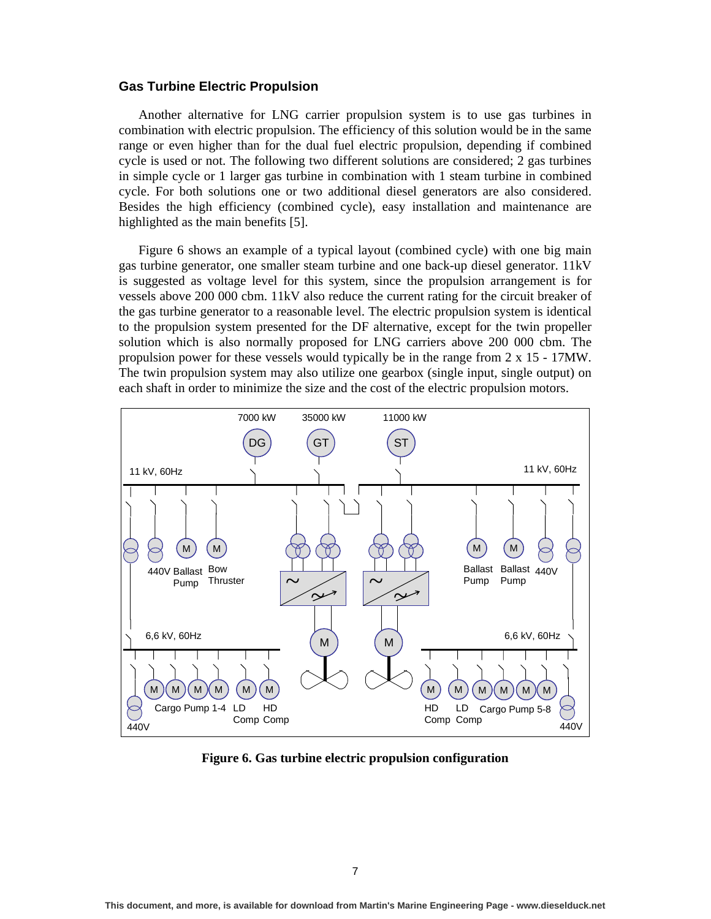#### **Gas Turbine Electric Propulsion**

Another alternative for LNG carrier propulsion system is to use gas turbines in combination with electric propulsion. The efficiency of this solution would be in the same range or even higher than for the dual fuel electric propulsion, depending if combined cycle is used or not. The following two different solutions are considered; 2 gas turbines in simple cycle or 1 larger gas turbine in combination with 1 steam turbine in combined cycle. For both solutions one or two additional diesel generators are also considered. Besides the high efficiency (combined cycle), easy installation and maintenance are highlighted as the main benefits [5].

Figure 6 shows an example of a typical layout (combined cycle) with one big main gas turbine generator, one smaller steam turbine and one back-up diesel generator. 11kV is suggested as voltage level for this system, since the propulsion arrangement is for vessels above 200 000 cbm. 11kV also reduce the current rating for the circuit breaker of the gas turbine generator to a reasonable level. The electric propulsion system is identical to the propulsion system presented for the DF alternative, except for the twin propeller solution which is also normally proposed for LNG carriers above 200 000 cbm. The propulsion power for these vessels would typically be in the range from 2 x 15 - 17MW. The twin propulsion system may also utilize one gearbox (single input, single output) on each shaft in order to minimize the size and the cost of the electric propulsion motors.



**Figure 6. Gas turbine electric propulsion configuration**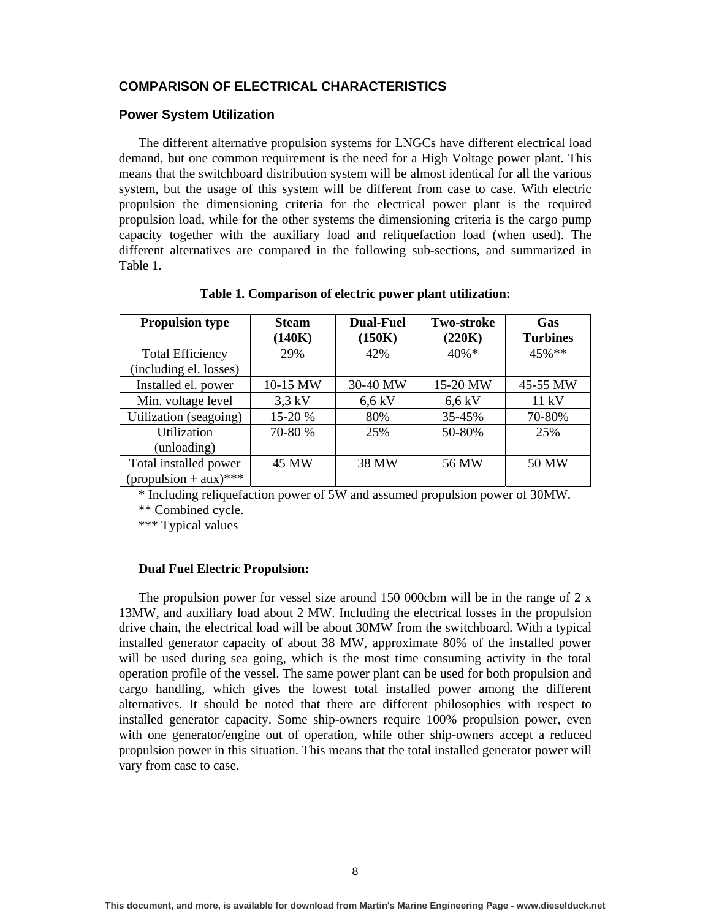# **COMPARISON OF ELECTRICAL CHARACTERISTICS**

### **Power System Utilization**

The different alternative propulsion systems for LNGCs have different electrical load demand, but one common requirement is the need for a High Voltage power plant. This means that the switchboard distribution system will be almost identical for all the various system, but the usage of this system will be different from case to case. With electric propulsion the dimensioning criteria for the electrical power plant is the required propulsion load, while for the other systems the dimensioning criteria is the cargo pump capacity together with the auxiliary load and reliquefaction load (when used). The different alternatives are compared in the following sub-sections, and summarized in Table 1.

| <b>Propulsion type</b>                  | <b>Steam</b> | <b>Dual-Fuel</b> | <b>Two-stroke</b> | Gas             |
|-----------------------------------------|--------------|------------------|-------------------|-----------------|
|                                         | (140K)       | (150K)           | (220K)            | <b>Turbines</b> |
| <b>Total Efficiency</b>                 | 29%          | 42%              | $40\% *$          | $45\%$ **       |
| (including el. losses)                  |              |                  |                   |                 |
| Installed el. power                     | 10-15 MW     | 30-40 MW         | 15-20 MW          | 45-55 MW        |
| Min. voltage level                      | $3.3$ kV     | $6,6$ kV         | $6,6$ kV          | 11 kV           |
| Utilization (seagoing)                  | 15-20 %      | 80%              | 35-45%            | 70-80%          |
| Utilization                             | 70-80 %      | 25%              | 50-80%            | 25%             |
| (unloading)                             |              |                  |                   |                 |
| Total installed power                   | 45 MW        | 38 MW            | 56 MW             | 50 MW           |
| $(\text{propusion} + \text{aux})^{***}$ |              |                  |                   |                 |

**Table 1. Comparison of electric power plant utilization:** 

\* Including reliquefaction power of 5W and assumed propulsion power of 30MW.

\*\* Combined cycle.

\*\*\* Typical values

### **Dual Fuel Electric Propulsion:**

The propulsion power for vessel size around 150 000cbm will be in the range of 2 x 13MW, and auxiliary load about 2 MW. Including the electrical losses in the propulsion drive chain, the electrical load will be about 30MW from the switchboard. With a typical installed generator capacity of about 38 MW, approximate 80% of the installed power will be used during sea going, which is the most time consuming activity in the total operation profile of the vessel. The same power plant can be used for both propulsion and cargo handling, which gives the lowest total installed power among the different alternatives. It should be noted that there are different philosophies with respect to installed generator capacity. Some ship-owners require 100% propulsion power, even with one generator/engine out of operation, while other ship-owners accept a reduced propulsion power in this situation. This means that the total installed generator power will vary from case to case.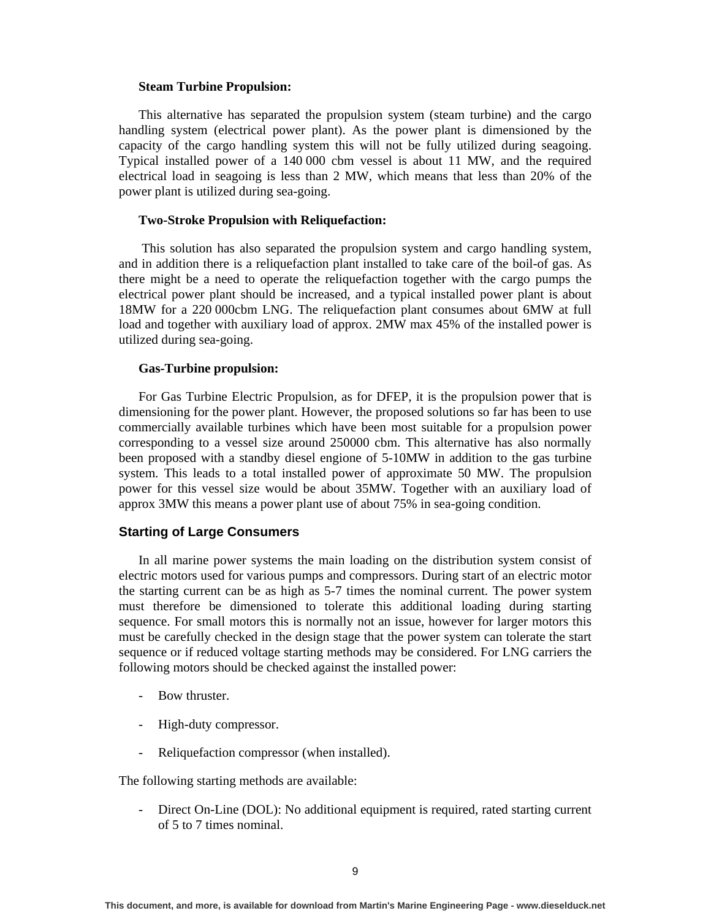### **Steam Turbine Propulsion:**

This alternative has separated the propulsion system (steam turbine) and the cargo handling system (electrical power plant). As the power plant is dimensioned by the capacity of the cargo handling system this will not be fully utilized during seagoing. Typical installed power of a 140 000 cbm vessel is about 11 MW, and the required electrical load in seagoing is less than 2 MW, which means that less than 20% of the power plant is utilized during sea-going.

### **Two-Stroke Propulsion with Reliquefaction:**

 This solution has also separated the propulsion system and cargo handling system, and in addition there is a reliquefaction plant installed to take care of the boil-of gas. As there might be a need to operate the reliquefaction together with the cargo pumps the electrical power plant should be increased, and a typical installed power plant is about 18MW for a 220 000cbm LNG. The reliquefaction plant consumes about 6MW at full load and together with auxiliary load of approx. 2MW max 45% of the installed power is utilized during sea-going.

#### **Gas-Turbine propulsion:**

For Gas Turbine Electric Propulsion, as for DFEP, it is the propulsion power that is dimensioning for the power plant. However, the proposed solutions so far has been to use commercially available turbines which have been most suitable for a propulsion power corresponding to a vessel size around 250000 cbm. This alternative has also normally been proposed with a standby diesel engione of 5-10MW in addition to the gas turbine system. This leads to a total installed power of approximate 50 MW. The propulsion power for this vessel size would be about 35MW. Together with an auxiliary load of approx 3MW this means a power plant use of about 75% in sea-going condition.

# **Starting of Large Consumers**

In all marine power systems the main loading on the distribution system consist of electric motors used for various pumps and compressors. During start of an electric motor the starting current can be as high as 5-7 times the nominal current. The power system must therefore be dimensioned to tolerate this additional loading during starting sequence. For small motors this is normally not an issue, however for larger motors this must be carefully checked in the design stage that the power system can tolerate the start sequence or if reduced voltage starting methods may be considered. For LNG carriers the following motors should be checked against the installed power:

- Bow thruster.
- High-duty compressor.
- Reliquefaction compressor (when installed).

The following starting methods are available:

Direct On-Line (DOL): No additional equipment is required, rated starting current of 5 to 7 times nominal.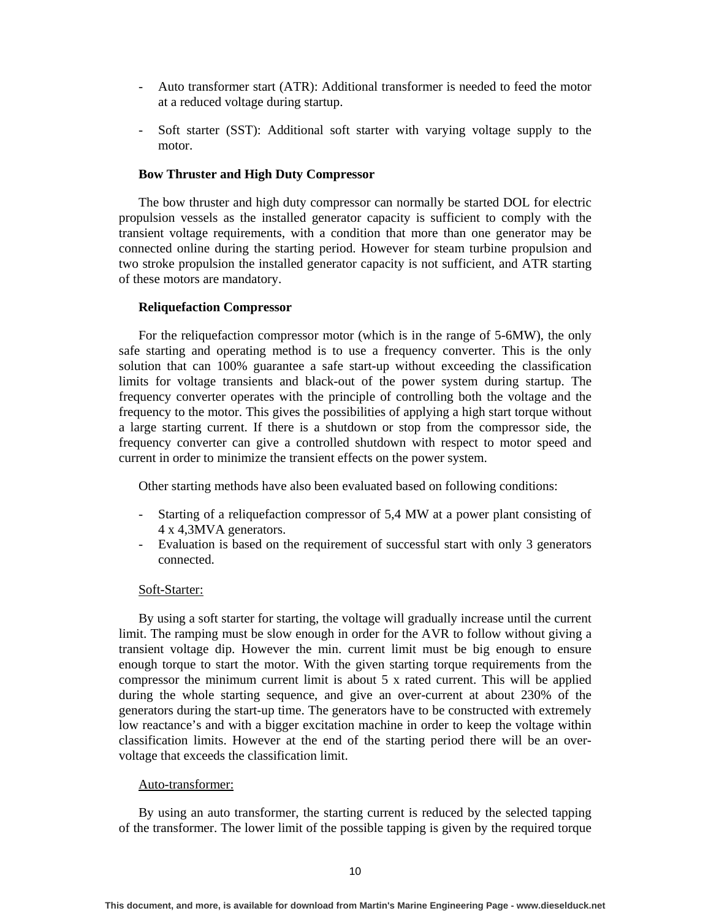- Auto transformer start (ATR): Additional transformer is needed to feed the motor at a reduced voltage during startup.
- Soft starter (SST): Additional soft starter with varying voltage supply to the motor.

#### **Bow Thruster and High Duty Compressor**

The bow thruster and high duty compressor can normally be started DOL for electric propulsion vessels as the installed generator capacity is sufficient to comply with the transient voltage requirements, with a condition that more than one generator may be connected online during the starting period. However for steam turbine propulsion and two stroke propulsion the installed generator capacity is not sufficient, and ATR starting of these motors are mandatory.

#### **Reliquefaction Compressor**

For the reliquefaction compressor motor (which is in the range of 5-6MW), the only safe starting and operating method is to use a frequency converter. This is the only solution that can 100% guarantee a safe start-up without exceeding the classification limits for voltage transients and black-out of the power system during startup. The frequency converter operates with the principle of controlling both the voltage and the frequency to the motor. This gives the possibilities of applying a high start torque without a large starting current. If there is a shutdown or stop from the compressor side, the frequency converter can give a controlled shutdown with respect to motor speed and current in order to minimize the transient effects on the power system.

Other starting methods have also been evaluated based on following conditions:

- Starting of a reliquefaction compressor of 5,4 MW at a power plant consisting of 4 x 4,3MVA generators.
- Evaluation is based on the requirement of successful start with only 3 generators connected.

#### Soft-Starter:

By using a soft starter for starting, the voltage will gradually increase until the current limit. The ramping must be slow enough in order for the AVR to follow without giving a transient voltage dip. However the min. current limit must be big enough to ensure enough torque to start the motor. With the given starting torque requirements from the compressor the minimum current limit is about 5 x rated current. This will be applied during the whole starting sequence, and give an over-current at about 230% of the generators during the start-up time. The generators have to be constructed with extremely low reactance's and with a bigger excitation machine in order to keep the voltage within classification limits. However at the end of the starting period there will be an overvoltage that exceeds the classification limit.

#### Auto-transformer:

By using an auto transformer, the starting current is reduced by the selected tapping of the transformer. The lower limit of the possible tapping is given by the required torque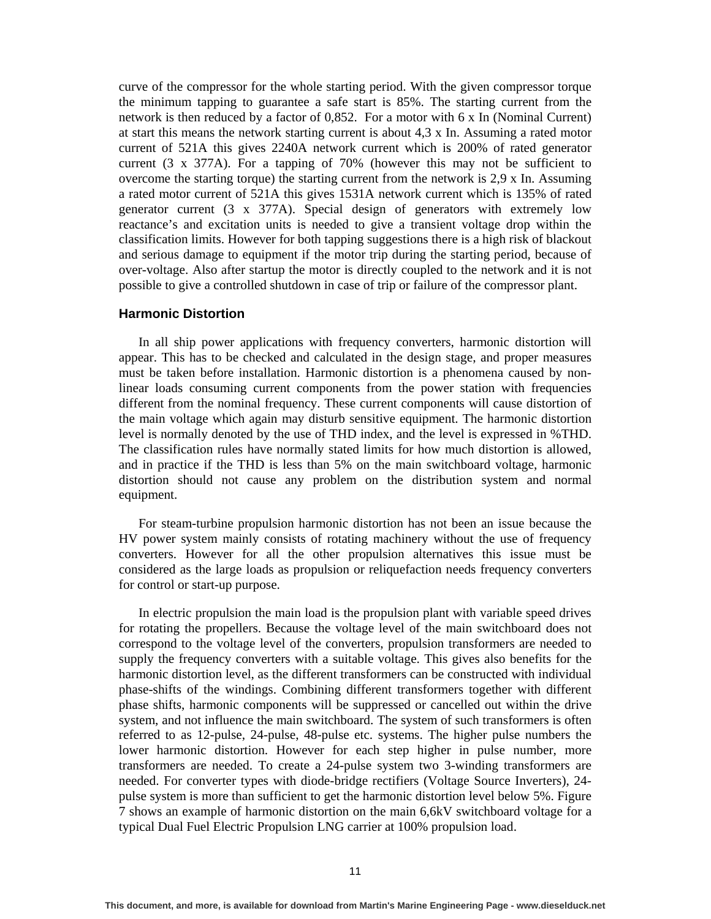curve of the compressor for the whole starting period. With the given compressor torque the minimum tapping to guarantee a safe start is 85%. The starting current from the network is then reduced by a factor of 0,852. For a motor with 6 x In (Nominal Current) at start this means the network starting current is about 4,3 x In. Assuming a rated motor current of 521A this gives 2240A network current which is 200% of rated generator current (3 x 377A). For a tapping of 70% (however this may not be sufficient to overcome the starting torque) the starting current from the network is 2,9 x In. Assuming a rated motor current of 521A this gives 1531A network current which is 135% of rated generator current (3 x 377A). Special design of generators with extremely low reactance's and excitation units is needed to give a transient voltage drop within the classification limits. However for both tapping suggestions there is a high risk of blackout and serious damage to equipment if the motor trip during the starting period, because of over-voltage. Also after startup the motor is directly coupled to the network and it is not possible to give a controlled shutdown in case of trip or failure of the compressor plant.

### **Harmonic Distortion**

In all ship power applications with frequency converters, harmonic distortion will appear. This has to be checked and calculated in the design stage, and proper measures must be taken before installation. Harmonic distortion is a phenomena caused by nonlinear loads consuming current components from the power station with frequencies different from the nominal frequency. These current components will cause distortion of the main voltage which again may disturb sensitive equipment. The harmonic distortion level is normally denoted by the use of THD index, and the level is expressed in %THD. The classification rules have normally stated limits for how much distortion is allowed, and in practice if the THD is less than 5% on the main switchboard voltage, harmonic distortion should not cause any problem on the distribution system and normal equipment.

For steam-turbine propulsion harmonic distortion has not been an issue because the HV power system mainly consists of rotating machinery without the use of frequency converters. However for all the other propulsion alternatives this issue must be considered as the large loads as propulsion or reliquefaction needs frequency converters for control or start-up purpose.

In electric propulsion the main load is the propulsion plant with variable speed drives for rotating the propellers. Because the voltage level of the main switchboard does not correspond to the voltage level of the converters, propulsion transformers are needed to supply the frequency converters with a suitable voltage. This gives also benefits for the harmonic distortion level, as the different transformers can be constructed with individual phase-shifts of the windings. Combining different transformers together with different phase shifts, harmonic components will be suppressed or cancelled out within the drive system, and not influence the main switchboard. The system of such transformers is often referred to as 12-pulse, 24-pulse, 48-pulse etc. systems. The higher pulse numbers the lower harmonic distortion. However for each step higher in pulse number, more transformers are needed. To create a 24-pulse system two 3-winding transformers are needed. For converter types with diode-bridge rectifiers (Voltage Source Inverters), 24 pulse system is more than sufficient to get the harmonic distortion level below 5%. Figure 7 shows an example of harmonic distortion on the main 6,6kV switchboard voltage for a typical Dual Fuel Electric Propulsion LNG carrier at 100% propulsion load.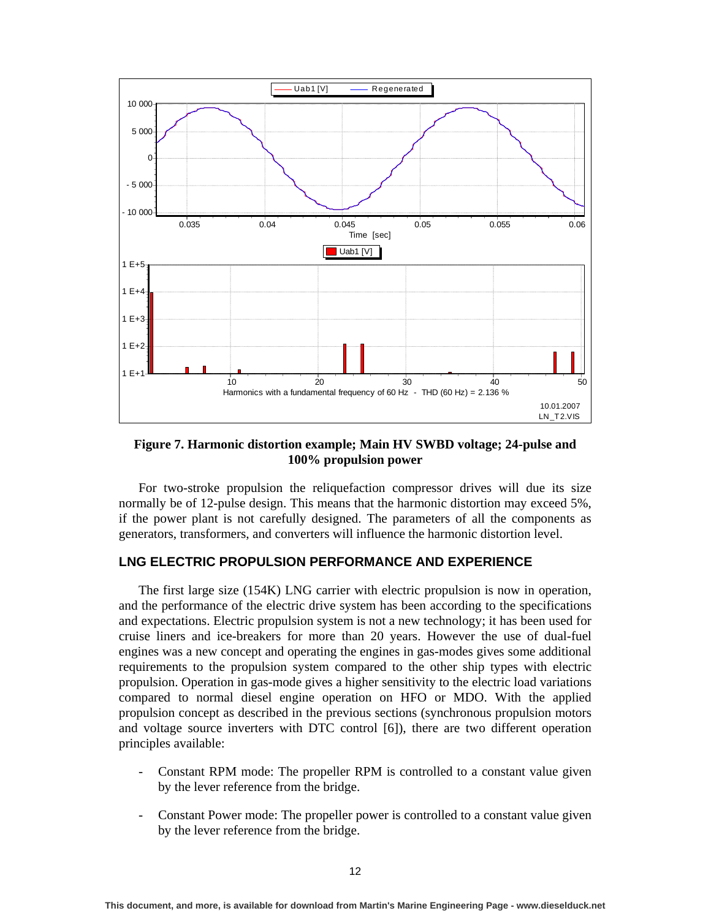

**Figure 7. Harmonic distortion example; Main HV SWBD voltage; 24-pulse and 100% propulsion power** 

For two-stroke propulsion the reliquefaction compressor drives will due its size normally be of 12-pulse design. This means that the harmonic distortion may exceed 5%, if the power plant is not carefully designed. The parameters of all the components as generators, transformers, and converters will influence the harmonic distortion level.

### **LNG ELECTRIC PROPULSION PERFORMANCE AND EXPERIENCE**

The first large size (154K) LNG carrier with electric propulsion is now in operation, and the performance of the electric drive system has been according to the specifications and expectations. Electric propulsion system is not a new technology; it has been used for cruise liners and ice-breakers for more than 20 years. However the use of dual-fuel engines was a new concept and operating the engines in gas-modes gives some additional requirements to the propulsion system compared to the other ship types with electric propulsion. Operation in gas-mode gives a higher sensitivity to the electric load variations compared to normal diesel engine operation on HFO or MDO. With the applied propulsion concept as described in the previous sections (synchronous propulsion motors and voltage source inverters with DTC control [6]), there are two different operation principles available:

- Constant RPM mode: The propeller RPM is controlled to a constant value given by the lever reference from the bridge.
- Constant Power mode: The propeller power is controlled to a constant value given by the lever reference from the bridge.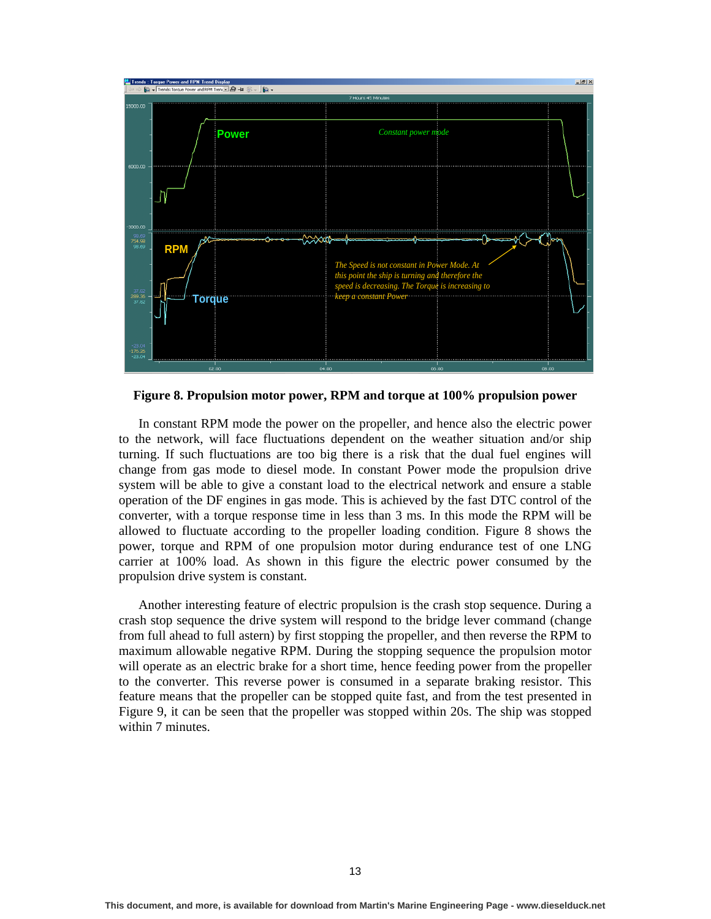

**Figure 8. Propulsion motor power, RPM and torque at 100% propulsion power** 

In constant RPM mode the power on the propeller, and hence also the electric power to the network, will face fluctuations dependent on the weather situation and/or ship turning. If such fluctuations are too big there is a risk that the dual fuel engines will change from gas mode to diesel mode. In constant Power mode the propulsion drive system will be able to give a constant load to the electrical network and ensure a stable operation of the DF engines in gas mode. This is achieved by the fast DTC control of the converter, with a torque response time in less than 3 ms. In this mode the RPM will be allowed to fluctuate according to the propeller loading condition. Figure 8 shows the power, torque and RPM of one propulsion motor during endurance test of one LNG carrier at 100% load. As shown in this figure the electric power consumed by the propulsion drive system is constant.

Another interesting feature of electric propulsion is the crash stop sequence. During a crash stop sequence the drive system will respond to the bridge lever command (change from full ahead to full astern) by first stopping the propeller, and then reverse the RPM to maximum allowable negative RPM. During the stopping sequence the propulsion motor will operate as an electric brake for a short time, hence feeding power from the propeller to the converter. This reverse power is consumed in a separate braking resistor. This feature means that the propeller can be stopped quite fast, and from the test presented in Figure 9, it can be seen that the propeller was stopped within 20s. The ship was stopped within 7 minutes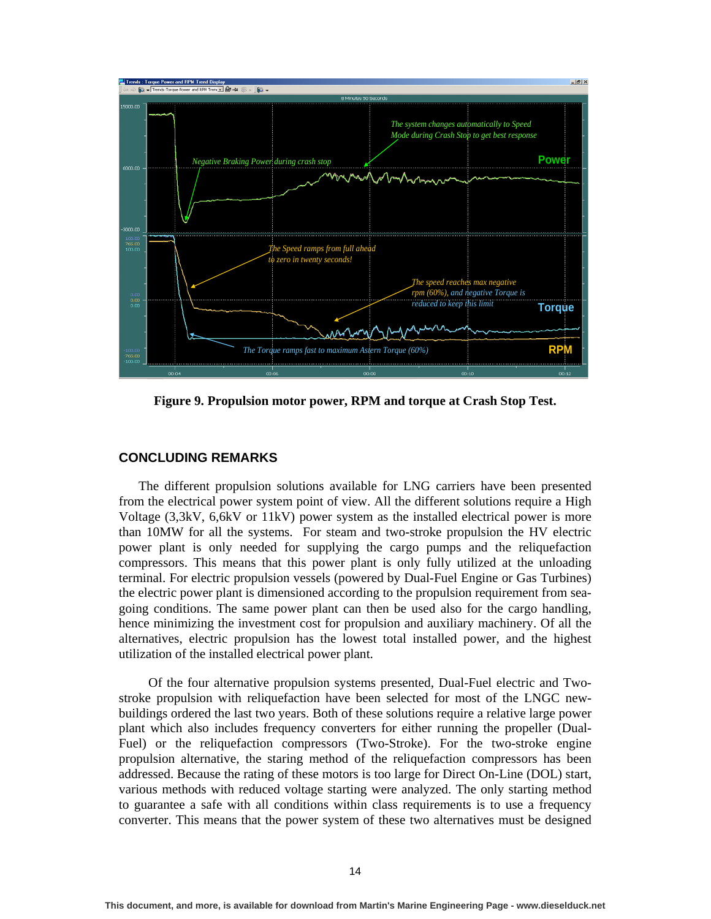

**Figure 9. Propulsion motor power, RPM and torque at Crash Stop Test.** 

### **CONCLUDING REMARKS**

The different propulsion solutions available for LNG carriers have been presented from the electrical power system point of view. All the different solutions require a High Voltage (3,3kV, 6,6kV or 11kV) power system as the installed electrical power is more than 10MW for all the systems. For steam and two-stroke propulsion the HV electric power plant is only needed for supplying the cargo pumps and the reliquefaction compressors. This means that this power plant is only fully utilized at the unloading terminal. For electric propulsion vessels (powered by Dual-Fuel Engine or Gas Turbines) the electric power plant is dimensioned according to the propulsion requirement from seagoing conditions. The same power plant can then be used also for the cargo handling, hence minimizing the investment cost for propulsion and auxiliary machinery. Of all the alternatives, electric propulsion has the lowest total installed power, and the highest utilization of the installed electrical power plant.

 Of the four alternative propulsion systems presented, Dual-Fuel electric and Twostroke propulsion with reliquefaction have been selected for most of the LNGC newbuildings ordered the last two years. Both of these solutions require a relative large power plant which also includes frequency converters for either running the propeller (Dual-Fuel) or the reliquefaction compressors (Two-Stroke). For the two-stroke engine propulsion alternative, the staring method of the reliquefaction compressors has been addressed. Because the rating of these motors is too large for Direct On-Line (DOL) start, various methods with reduced voltage starting were analyzed. The only starting method to guarantee a safe with all conditions within class requirements is to use a frequency converter. This means that the power system of these two alternatives must be designed